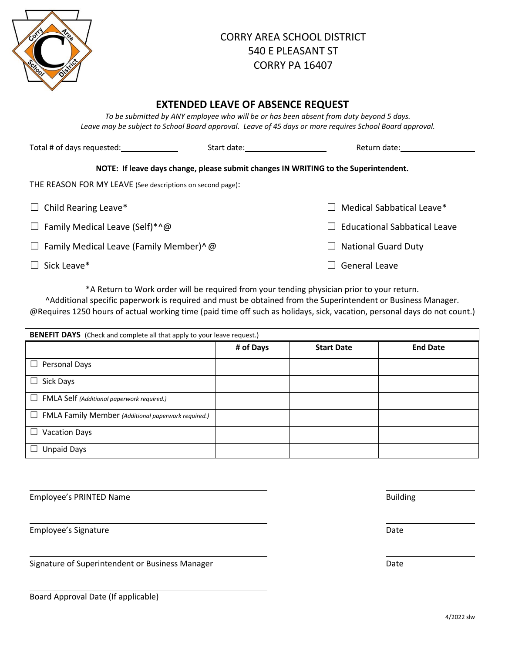

## CORRY AREA SCHOOL DISTRICT 540 E PLEASANT ST CORRY PA 16407

## **EXTENDED LEAVE OF ABSENCE REQUEST**

*To be submitted by ANY employee who will be or has been absent from duty beyond 5 days. Leave may be subject to School Board approval. Leave of 45 days or more requires School Board approval.*

| Total # of days requested: Total # Of days requested:      | Start date: The Start date: | Return date:                                                                        |
|------------------------------------------------------------|-----------------------------|-------------------------------------------------------------------------------------|
|                                                            |                             | NOTE: If leave days change, please submit changes IN WRITING to the Superintendent. |
| THE REASON FOR MY LEAVE (See descriptions on second page): |                             |                                                                                     |
| $\Box$ Child Rearing Leave*                                |                             | Medical Sabbatical Leave*                                                           |
| $\Box$ Family Medical Leave (Self)*^@                      |                             | <b>Educational Sabbatical Leave</b>                                                 |
| $\Box$ Family Medical Leave (Family Member)^ @             |                             | <b>National Guard Duty</b><br>$\Box$                                                |
| $\Box$ Sick Leave*                                         |                             | General Leave                                                                       |

\*A Return to Work order will be required from your tending physician prior to your return.

^Additional specific paperwork is required and must be obtained from the Superintendent or Business Manager. @Requires 1250 hours of actual working time (paid time off such as holidays, sick, vacation, personal days do not count.)

| <b>BENEFIT DAYS</b> (Check and complete all that apply to your leave request.) |           |                   |                 |  |  |
|--------------------------------------------------------------------------------|-----------|-------------------|-----------------|--|--|
|                                                                                | # of Days | <b>Start Date</b> | <b>End Date</b> |  |  |
| Personal Days<br>ப                                                             |           |                   |                 |  |  |
| Sick Days                                                                      |           |                   |                 |  |  |
| $\Box$ FMLA Self (Additional paperwork required.)                              |           |                   |                 |  |  |
| $\Box$ FMLA Family Member (Additional paperwork required.)                     |           |                   |                 |  |  |
| <b>Vacation Days</b>                                                           |           |                   |                 |  |  |
| <b>Unpaid Days</b>                                                             |           |                   |                 |  |  |

Employee's PRINTED Name **Building** 

Employee's Signature Date

Signature of Superintendent or Business Manager **Date** Date Date

| Board Approval Date (If applicable) |  |  |
|-------------------------------------|--|--|
|-------------------------------------|--|--|